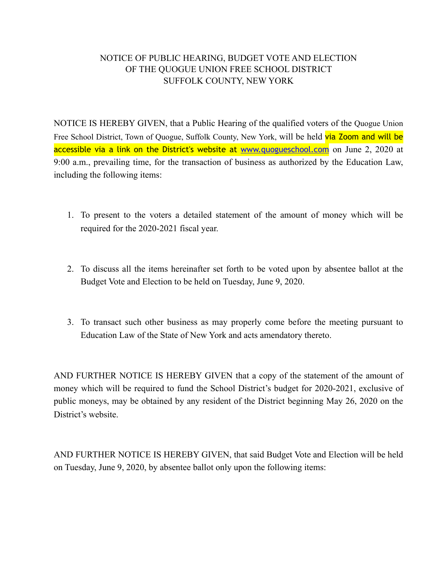## NOTICE OF PUBLIC HEARING, BUDGET VOTE AND ELECTION OF THE QUOGUE UNION FREE SCHOOL DISTRICT SUFFOLK COUNTY, NEW YORK

NOTICE IS HEREBY GIVEN, that a Public Hearing of the qualified voters of the Quogue Union Free School District, Town of Quogue, Suffolk County, New York, will be held via Zoom and will be accessible via a link on the District's website at [www.quogueschool.com](http://www.quogueschool.com) on June 2, 2020 at 9:00 a.m., prevailing time, for the transaction of business as authorized by the Education Law, including the following items:

- 1. To present to the voters a detailed statement of the amount of money which will be required for the 2020-2021 fiscal year.
- 2. To discuss all the items hereinafter set forth to be voted upon by absentee ballot at the Budget Vote and Election to be held on Tuesday, June 9, 2020.
- 3. To transact such other business as may properly come before the meeting pursuant to Education Law of the State of New York and acts amendatory thereto.

AND FURTHER NOTICE IS HEREBY GIVEN that a copy of the statement of the amount of money which will be required to fund the School District's budget for 2020-2021, exclusive of public moneys, may be obtained by any resident of the District beginning May 26, 2020 on the District's website.

AND FURTHER NOTICE IS HEREBY GIVEN, that said Budget Vote and Election will be held on Tuesday, June 9, 2020, by absentee ballot only upon the following items: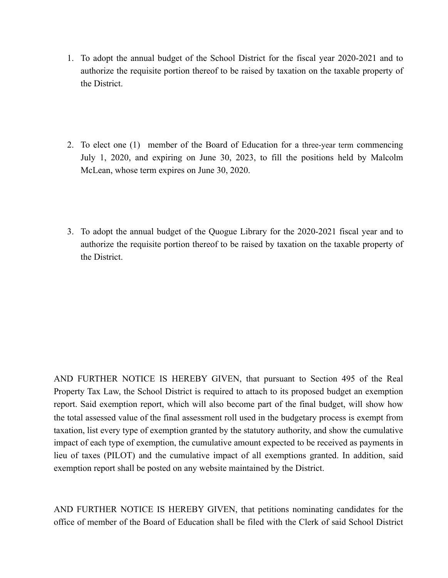- 1. To adopt the annual budget of the School District for the fiscal year 2020-2021 and to authorize the requisite portion thereof to be raised by taxation on the taxable property of the District.
- 2. To elect one (1) member of the Board of Education for a three-year term commencing July 1, 2020, and expiring on June 30, 2023, to fill the positions held by Malcolm McLean, whose term expires on June 30, 2020.
- 3. To adopt the annual budget of the Quogue Library for the 2020-2021 fiscal year and to authorize the requisite portion thereof to be raised by taxation on the taxable property of the District.

AND FURTHER NOTICE IS HEREBY GIVEN, that pursuant to Section 495 of the Real Property Tax Law, the School District is required to attach to its proposed budget an exemption report. Said exemption report, which will also become part of the final budget, will show how the total assessed value of the final assessment roll used in the budgetary process is exempt from taxation, list every type of exemption granted by the statutory authority, and show the cumulative impact of each type of exemption, the cumulative amount expected to be received as payments in lieu of taxes (PILOT) and the cumulative impact of all exemptions granted. In addition, said exemption report shall be posted on any website maintained by the District.

AND FURTHER NOTICE IS HEREBY GIVEN, that petitions nominating candidates for the office of member of the Board of Education shall be filed with the Clerk of said School District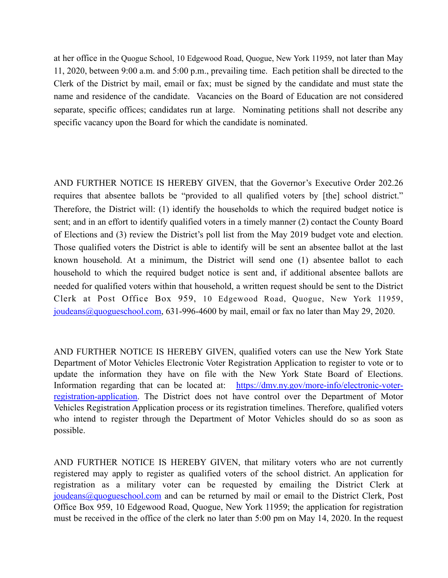at her office in the Quogue School, 10 Edgewood Road, Quogue, New York 11959, not later than May 11, 2020, between 9:00 a.m. and 5:00 p.m., prevailing time. Each petition shall be directed to the Clerk of the District by mail, email or fax; must be signed by the candidate and must state the name and residence of the candidate. Vacancies on the Board of Education are not considered separate, specific offices; candidates run at large. Nominating petitions shall not describe any specific vacancy upon the Board for which the candidate is nominated.

AND FURTHER NOTICE IS HEREBY GIVEN, that the Governor's Executive Order 202.26 requires that absentee ballots be "provided to all qualified voters by [the] school district." Therefore, the District will: (1) identify the households to which the required budget notice is sent; and in an effort to identify qualified voters in a timely manner (2) contact the County Board of Elections and (3) review the District's poll list from the May 2019 budget vote and election. Those qualified voters the District is able to identify will be sent an absentee ballot at the last known household. At a minimum, the District will send one (1) absentee ballot to each household to which the required budget notice is sent and, if additional absentee ballots are needed for qualified voters within that household, a written request should be sent to the District Clerk at Post Office Box 959, 10 Edgewood Road, Quogue, New York 11959, [joudeans@quogueschool.com](mailto:joudeans@quogueschool.com), 631-996-4600 by mail, email or fax no later than May 29, 2020.

AND FURTHER NOTICE IS HEREBY GIVEN, qualified voters can use the New York State Department of Motor Vehicles Electronic Voter Registration Application to register to vote or to update the information they have on file with the New York State Board of Elections. Information regarding that can be located at: https://dmv.ny.gov/more-info/electronic-voterregistration-application. The District does not have control over the Department of Motor Vehicles Registration Application process or its registration timelines. Therefore, qualified voters who intend to register through the Department of Motor Vehicles should do so as soon as possible.

AND FURTHER NOTICE IS HEREBY GIVEN, that military voters who are not currently registered may apply to register as qualified voters of the school district. An application for registration as a military voter can be requested by emailing the District Clerk at [joudeans@quogueschool.com](mailto:joudeans@quogueschool.com) and can be returned by mail or email to the District Clerk, Post Office Box 959, 10 Edgewood Road, Quogue, New York 11959; the application for registration must be received in the office of the clerk no later than 5:00 pm on May 14, 2020. In the request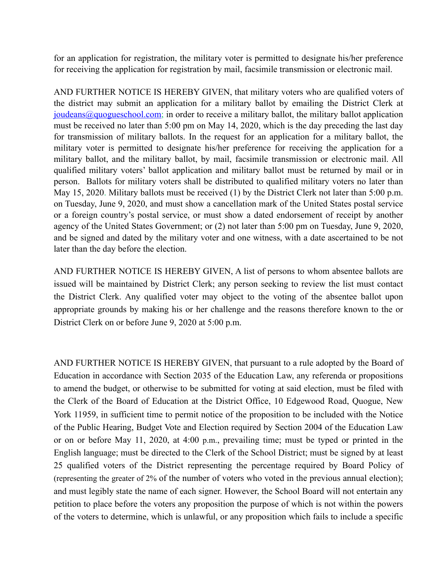for an application for registration, the military voter is permitted to designate his/her preference for receiving the application for registration by mail, facsimile transmission or electronic mail.

AND FURTHER NOTICE IS HEREBY GIVEN, that military voters who are qualified voters of the district may submit an application for a military ballot by emailing the District Clerk at  $joudeans@quogueschool.com$ ; in order to receive a military ballot, the military ballot application must be received no later than 5:00 pm on May 14, 2020, which is the day preceding the last day for transmission of military ballots. In the request for an application for a military ballot, the military voter is permitted to designate his/her preference for receiving the application for a military ballot, and the military ballot, by mail, facsimile transmission or electronic mail. All qualified military voters' ballot application and military ballot must be returned by mail or in person. Ballots for military voters shall be distributed to qualified military voters no later than May 15, 2020. Military ballots must be received (1) by the District Clerk not later than 5:00 p.m. on Tuesday, June 9, 2020, and must show a cancellation mark of the United States postal service or a foreign country's postal service, or must show a dated endorsement of receipt by another agency of the United States Government; or (2) not later than 5:00 pm on Tuesday, June 9, 2020, and be signed and dated by the military voter and one witness, with a date ascertained to be not later than the day before the election.

AND FURTHER NOTICE IS HEREBY GIVEN, A list of persons to whom absentee ballots are issued will be maintained by District Clerk; any person seeking to review the list must contact the District Clerk. Any qualified voter may object to the voting of the absentee ballot upon appropriate grounds by making his or her challenge and the reasons therefore known to the or District Clerk on or before June 9, 2020 at 5:00 p.m.

AND FURTHER NOTICE IS HEREBY GIVEN, that pursuant to a rule adopted by the Board of Education in accordance with Section 2035 of the Education Law, any referenda or propositions to amend the budget, or otherwise to be submitted for voting at said election, must be filed with the Clerk of the Board of Education at the District Office, 10 Edgewood Road, Quogue, New York 11959, in sufficient time to permit notice of the proposition to be included with the Notice of the Public Hearing, Budget Vote and Election required by Section 2004 of the Education Law or on or before May 11, 2020, at 4:00 p.m., prevailing time; must be typed or printed in the English language; must be directed to the Clerk of the School District; must be signed by at least 25 qualified voters of the District representing the percentage required by Board Policy of (representing the greater of 2% of the number of voters who voted in the previous annual election); and must legibly state the name of each signer. However, the School Board will not entertain any petition to place before the voters any proposition the purpose of which is not within the powers of the voters to determine, which is unlawful, or any proposition which fails to include a specific